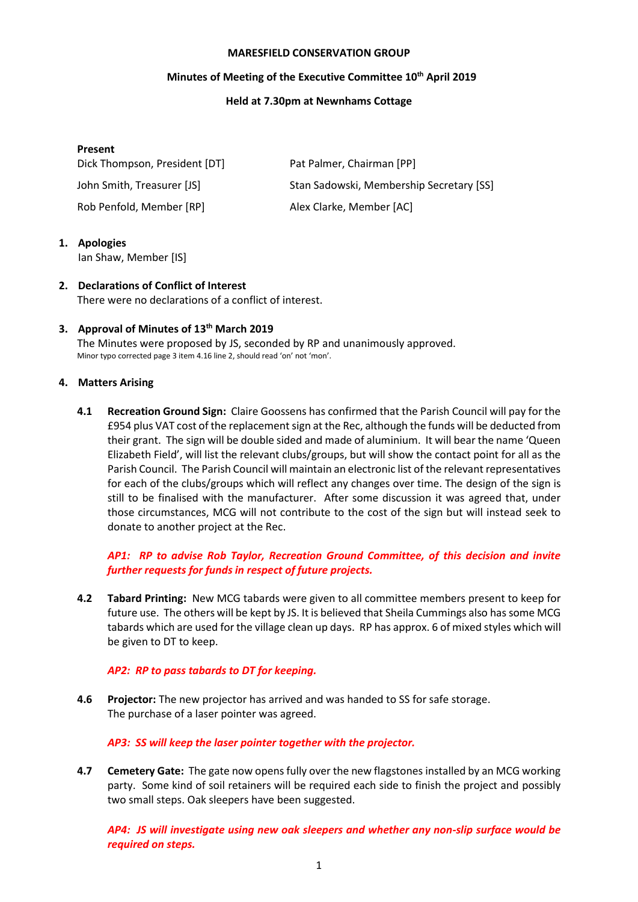#### **MARESFIELD CONSERVATION GROUP**

## **Minutes of Meeting of the Executive Committee 10 th April 2019**

### **Held at 7.30pm at Newnhams Cottage**

### **Present**

Dick Thompson, President [DT] Pat Palmer, Chairman [PP]

Rob Penfold, Member [RP] Alex Clarke, Member [AC]

John Smith, Treasurer [JS] Stan Sadowski, Membership Secretary [SS]

**1. Apologies**

Ian Shaw, Member [IS]

**2. Declarations of Conflict of Interest** There were no declarations of a conflict of interest.

## **3. Approval of Minutes of 13 th March 2019**

The Minutes were proposed by JS, seconded by RP and unanimously approved. Minor typo corrected page 3 item 4.16 line 2, should read 'on' not 'mon'.

## **4. Matters Arising**

**4.1 Recreation Ground Sign:** Claire Goossens has confirmed that the Parish Council will pay for the £954 plus VAT cost of the replacementsign at the Rec, although the funds will be deducted from their grant. The sign will be double sided and made of aluminium. It will bear the name 'Queen Elizabeth Field', will list the relevant clubs/groups, but will show the contact point for all as the Parish Council. The Parish Council will maintain an electronic list of the relevant representatives for each of the clubs/groups which will reflect any changes over time. The design of the sign is still to be finalised with the manufacturer. After some discussion it was agreed that, under those circumstances, MCG will not contribute to the cost of the sign but will instead seek to donate to another project at the Rec.

# *AP1: RP to advise Rob Taylor, Recreation Ground Committee, of this decision and invite further requests for funds in respect of future projects.*

**4.2 Tabard Printing:** New MCG tabards were given to all committee members present to keep for future use. The others will be kept by JS. It is believed that Sheila Cummings also has some MCG tabards which are used for the village clean up days. RP has approx. 6 of mixed styles which will be given to DT to keep.

## *AP2: RP to pass tabards to DT for keeping.*

**4.6 Projector:** The new projector has arrived and was handed to SS for safe storage. The purchase of a laser pointer was agreed.

## *AP3: SS will keep the laser pointer together with the projector.*

**4.7 Cemetery Gate:** The gate now opens fully over the new flagstones installed by an MCG working party. Some kind of soil retainers will be required each side to finish the project and possibly two small steps. Oak sleepers have been suggested.

*AP4: JS will investigate using new oak sleepers and whether any non-slip surface would be required on steps.*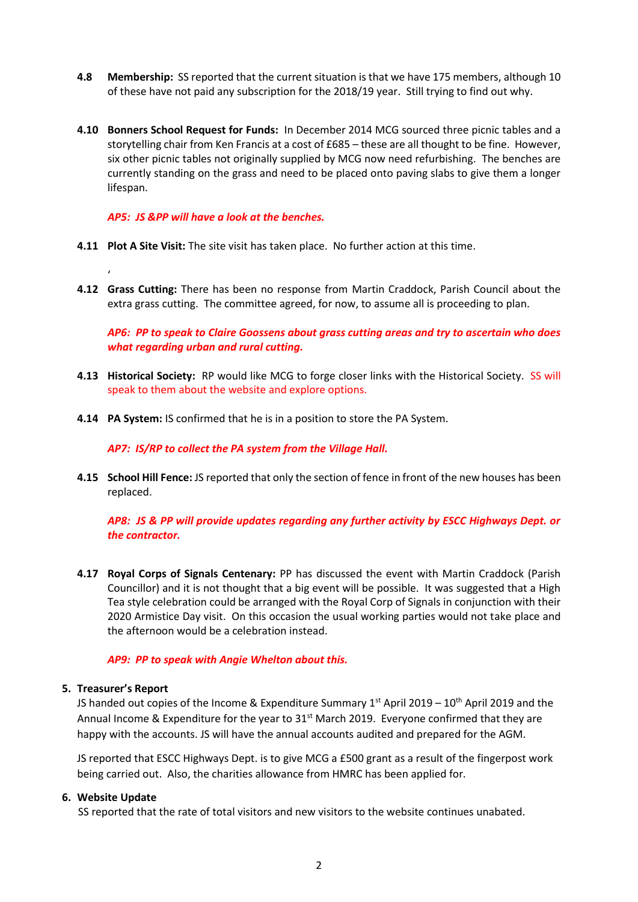- **4.8 Membership:** SS reported that the current situation is that we have 175 members, although 10 of these have not paid any subscription for the 2018/19 year. Still trying to find out why.
- **4.10 Bonners School Request for Funds:** In December 2014 MCG sourced three picnic tables and a storytelling chair from Ken Francis at a cost of £685 – these are all thought to be fine. However, six other picnic tables not originally supplied by MCG now need refurbishing. The benches are currently standing on the grass and need to be placed onto paving slabs to give them a longer lifespan.

*AP5: JS &PP will have a look at the benches.*

- **4.11 Plot A Site Visit:** The site visit has taken place. No further action at this time.
- **4.12 Grass Cutting:** There has been no response from Martin Craddock, Parish Council about the extra grass cutting. The committee agreed, for now, to assume all is proceeding to plan.

*AP6: PP to speak to Claire Goossens about grass cutting areas and try to ascertain who does what regarding urban and rural cutting.*

- **4.13 Historical Society:** RP would like MCG to forge closer links with the Historical Society. SS will speak to them about the website and explore options.
- **4.14 PA System:** IS confirmed that he is in a position to store the PA System.

*AP7: IS/RP to collect the PA system from the Village Hall.*

**4.15 School Hill Fence:** JS reported that only the section of fence in front of the new houses has been replaced.

*AP8: JS & PP will provide updates regarding any further activity by ESCC Highways Dept. or the contractor.*

**4.17 Royal Corps of Signals Centenary:** PP has discussed the event with Martin Craddock (Parish Councillor) and it is not thought that a big event will be possible. It was suggested that a High Tea style celebration could be arranged with the Royal Corp of Signals in conjunction with their 2020 Armistice Day visit. On this occasion the usual working parties would not take place and the afternoon would be a celebration instead.

#### *AP9: PP to speak with Angie Whelton about this.*

#### **5. Treasurer's Report**

'

JS handed out copies of the Income & Expenditure Summary  $1^{st}$  April 2019 –  $10^{th}$  April 2019 and the Annual Income & Expenditure for the year to  $31<sup>st</sup>$  March 2019. Everyone confirmed that they are happy with the accounts. JS will have the annual accounts audited and prepared for the AGM.

JS reported that ESCC Highways Dept. is to give MCG a £500 grant as a result of the fingerpost work being carried out. Also, the charities allowance from HMRC has been applied for.

#### **6. Website Update**

SS reported that the rate of total visitors and new visitors to the website continues unabated.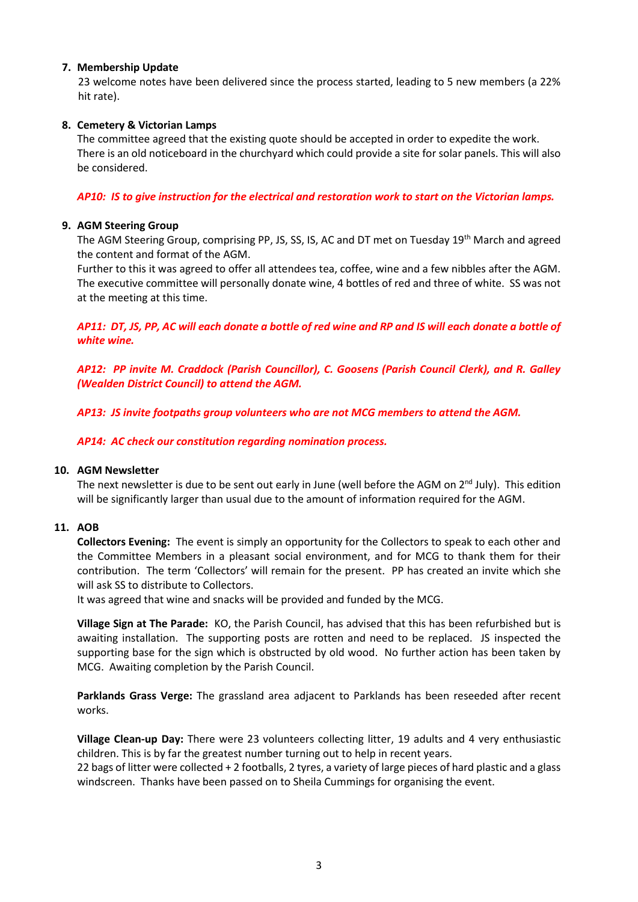## **7. Membership Update**

23 welcome notes have been delivered since the process started, leading to 5 new members (a 22% hit rate).

# **8. Cemetery & Victorian Lamps**

The committee agreed that the existing quote should be accepted in order to expedite the work. There is an old noticeboard in the churchyard which could provide a site for solar panels. This will also be considered.

## *AP10: IS to give instruction for the electrical and restoration work to start on the Victorian lamps.*

## **9. AGM Steering Group**

The AGM Steering Group, comprising PP, JS, SS, IS, AC and DT met on Tuesday 19<sup>th</sup> March and agreed the content and format of the AGM.

Further to this it was agreed to offer all attendees tea, coffee, wine and a few nibbles after the AGM. The executive committee will personally donate wine, 4 bottles of red and three of white. SS was not at the meeting at this time.

*AP11: DT, JS, PP, AC will each donate a bottle of red wine and RP and IS will each donate a bottle of white wine.*

*AP12: PP invite M. Craddock (Parish Councillor), C. Goosens (Parish Council Clerk), and R. Galley (Wealden District Council) to attend the AGM.*

*AP13: JS invite footpaths group volunteers who are not MCG members to attend the AGM.*

*AP14: AC check our constitution regarding nomination process.*

## **10. AGM Newsletter**

The next newsletter is due to be sent out early in June (well before the AGM on  $2^{nd}$  July). This edition will be significantly larger than usual due to the amount of information required for the AGM.

## **11. AOB**

**Collectors Evening:** The event is simply an opportunity for the Collectors to speak to each other and the Committee Members in a pleasant social environment, and for MCG to thank them for their contribution. The term 'Collectors' will remain for the present. PP has created an invite which she will ask SS to distribute to Collectors.

It was agreed that wine and snacks will be provided and funded by the MCG.

**Village Sign at The Parade:** KO, the Parish Council, has advised that this has been refurbished but is awaiting installation. The supporting posts are rotten and need to be replaced. JS inspected the supporting base for the sign which is obstructed by old wood. No further action has been taken by MCG. Awaiting completion by the Parish Council.

**Parklands Grass Verge:** The grassland area adjacent to Parklands has been reseeded after recent works.

**Village Clean-up Day:** There were 23 volunteers collecting litter, 19 adults and 4 very enthusiastic children. This is by far the greatest number turning out to help in recent years.

22 bags of litter were collected + 2 footballs, 2 tyres, a variety of large pieces of hard plastic and a glass windscreen. Thanks have been passed on to Sheila Cummings for organising the event.